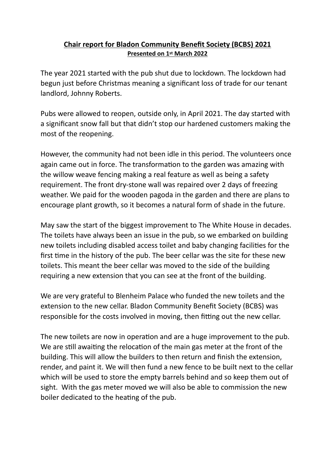## **Chair report for Bladon Community Benefit Society (BCBS) 2021 Presented on 1st March 2022**

The year 2021 started with the pub shut due to lockdown. The lockdown had begun just before Christmas meaning a significant loss of trade for our tenant landlord, Johnny Roberts.

Pubs were allowed to reopen, outside only, in April 2021. The day started with a significant snow fall but that didn't stop our hardened customers making the most of the reopening.

However, the community had not been idle in this period. The volunteers once again came out in force. The transformation to the garden was amazing with the willow weave fencing making a real feature as well as being a safety requirement. The front dry-stone wall was repaired over 2 days of freezing weather. We paid for the wooden pagoda in the garden and there are plans to encourage plant growth, so it becomes a natural form of shade in the future.

May saw the start of the biggest improvement to The White House in decades. The toilets have always been an issue in the pub, so we embarked on building new toilets including disabled access toilet and baby changing facilities for the first time in the history of the pub. The beer cellar was the site for these new toilets. This meant the beer cellar was moved to the side of the building requiring a new extension that you can see at the front of the building.

We are very grateful to Blenheim Palace who funded the new toilets and the extension to the new cellar. Bladon Community Benefit Society (BCBS) was responsible for the costs involved in moving, then fitting out the new cellar.

The new toilets are now in operation and are a huge improvement to the pub. We are still awaiting the relocation of the main gas meter at the front of the building. This will allow the builders to then return and finish the extension, render, and paint it. We will then fund a new fence to be built next to the cellar which will be used to store the empty barrels behind and so keep them out of sight. With the gas meter moved we will also be able to commission the new boiler dedicated to the heating of the pub.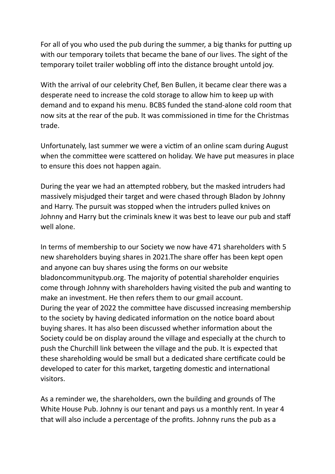For all of you who used the pub during the summer, a big thanks for putting up with our temporary toilets that became the bane of our lives. The sight of the temporary toilet trailer wobbling off into the distance brought untold joy.

With the arrival of our celebrity Chef, Ben Bullen, it became clear there was a desperate need to increase the cold storage to allow him to keep up with demand and to expand his menu. BCBS funded the stand-alone cold room that now sits at the rear of the pub. It was commissioned in time for the Christmas trade.

Unfortunately, last summer we were a victim of an online scam during August when the committee were scattered on holiday. We have put measures in place to ensure this does not happen again.

During the year we had an attempted robbery, but the masked intruders had massively misjudged their target and were chased through Bladon by Johnny and Harry. The pursuit was stopped when the intruders pulled knives on Johnny and Harry but the criminals knew it was best to leave our pub and staff well alone.

In terms of membership to our Society we now have 471 shareholders with 5 new shareholders buying shares in 2021.The share offer has been kept open and anyone can buy shares using the forms on our website bladoncommunitypub.org. The majority of potential shareholder enquiries come through Johnny with shareholders having visited the pub and wanting to make an investment. He then refers them to our gmail account. During the year of 2022 the committee have discussed increasing membership to the society by having dedicated information on the notice board about buying shares. It has also been discussed whether information about the Society could be on display around the village and especially at the church to push the Churchill link between the village and the pub. It is expected that these shareholding would be small but a dedicated share certificate could be developed to cater for this market, targeting domestic and international visitors.

As a reminder we, the shareholders, own the building and grounds of The White House Pub. Johnny is our tenant and pays us a monthly rent. In year 4 that will also include a percentage of the profits. Johnny runs the pub as a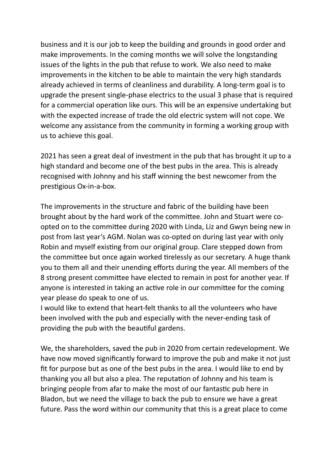business and it is our job to keep the building and grounds in good order and make improvements. In the coming months we will solve the longstanding issues of the lights in the pub that refuse to work. We also need to make improvements in the kitchen to be able to maintain the very high standards already achieved in terms of cleanliness and durability. A long-term goal is to upgrade the present single-phase electrics to the usual 3 phase that is required for a commercial operation like ours. This will be an expensive undertaking but with the expected increase of trade the old electric system will not cope. We welcome any assistance from the community in forming a working group with us to achieve this goal.

2021 has seen a great deal of investment in the pub that has brought it up to a high standard and become one of the best pubs in the area. This is already recognised with Johnny and his staff winning the best newcomer from the prestigious Ox-in-a-box.

The improvements in the structure and fabric of the building have been brought about by the hard work of the committee. John and Stuart were coopted on to the committee during 2020 with Linda, Liz and Gwyn being new in post from last year's AGM. Nolan was co-opted on during last year with only Robin and myself existing from our original group. Clare stepped down from the committee but once again worked tirelessly as our secretary. A huge thank you to them all and their unending efforts during the year. All members of the 8 strong present committee have elected to remain in post for another year. If anyone is interested in taking an active role in our committee for the coming year please do speak to one of us.

I would like to extend that heart-felt thanks to all the volunteers who have been involved with the pub and especially with the never-ending task of providing the pub with the beautiful gardens.

We, the shareholders, saved the pub in 2020 from certain redevelopment. We have now moved significantly forward to improve the pub and make it not just fit for purpose but as one of the best pubs in the area. I would like to end by thanking you all but also a plea. The reputation of Johnny and his team is bringing people from afar to make the most of our fantastic pub here in Bladon, but we need the village to back the pub to ensure we have a great future. Pass the word within our community that this is a great place to come